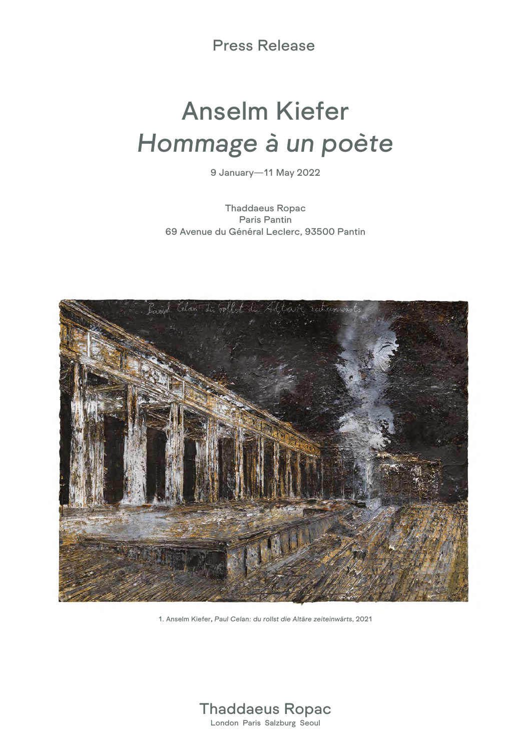Press Release

## Anselm Kiefer *Hommage à un poète*

9 January—11 May 2022

Thaddaeus Ropac Paris Pantin 69 Avenue du Général Leclerc, 93500 Pantin



1. Anselm Kiefer, *Paul Celan: du rollst die Altäre zeiteinwärts*, 2021

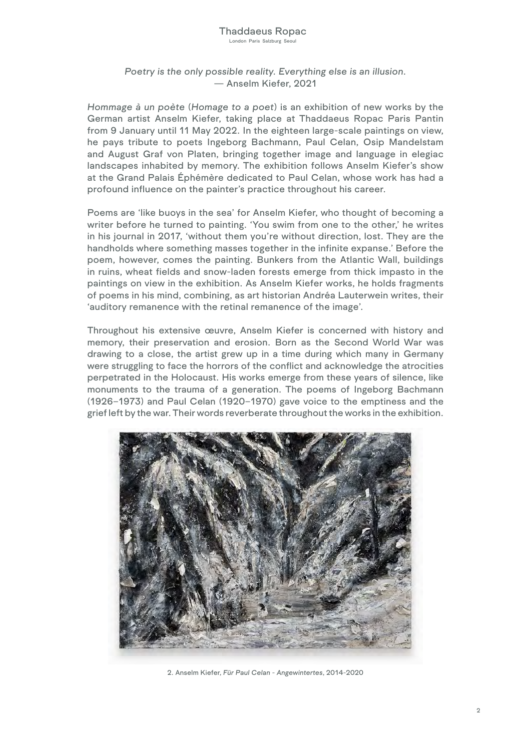## Thaddaeus Ropac

London Paris Salzburg Seoul

## *Poetry is the only possible reality. Everything else is an illusion.*  — Anselm Kiefer, 2021

*Hommage à un poète* (*Homage to a poet*) is an exhibition of new works by the German artist Anselm Kiefer, taking place at Thaddaeus Ropac Paris Pantin from 9 January until 11 May 2022. In the eighteen large-scale paintings on view, he pays tribute to poets Ingeborg Bachmann, Paul Celan, Osip Mandelstam and August Graf von Platen, bringing together image and language in elegiac landscapes inhabited by memory. The exhibition follows Anselm Kiefer's show at the Grand Palais Éphémère dedicated to Paul Celan, whose work has had a profound influence on the painter's practice throughout his career.

Poems are 'like buoys in the sea' for Anselm Kiefer, who thought of becoming a writer before he turned to painting. 'You swim from one to the other,' he writes in his journal in 2017, 'without them you're without direction, lost. They are the handholds where something masses together in the infinite expanse.' Before the poem, however, comes the painting. Bunkers from the Atlantic Wall, buildings in ruins, wheat fields and snow-laden forests emerge from thick impasto in the paintings on view in the exhibition. As Anselm Kiefer works, he holds fragments of poems in his mind, combining, as art historian Andréa Lauterwein writes, their 'auditory remanence with the retinal remanence of the image'.

Throughout his extensive œuvre, Anselm Kiefer is concerned with history and memory, their preservation and erosion. Born as the Second World War was drawing to a close, the artist grew up in a time during which many in Germany were struggling to face the horrors of the conflict and acknowledge the atrocities perpetrated in the Holocaust. His works emerge from these years of silence, like monuments to the trauma of a generation. The poems of Ingeborg Bachmann (1926–1973) and Paul Celan (1920–1970) gave voice to the emptiness and the grief left by the war. Their words reverberate throughout the works in the exhibition.



2. Anselm Kiefer, *Für Paul Celan - Angewintertes*, 2014-2020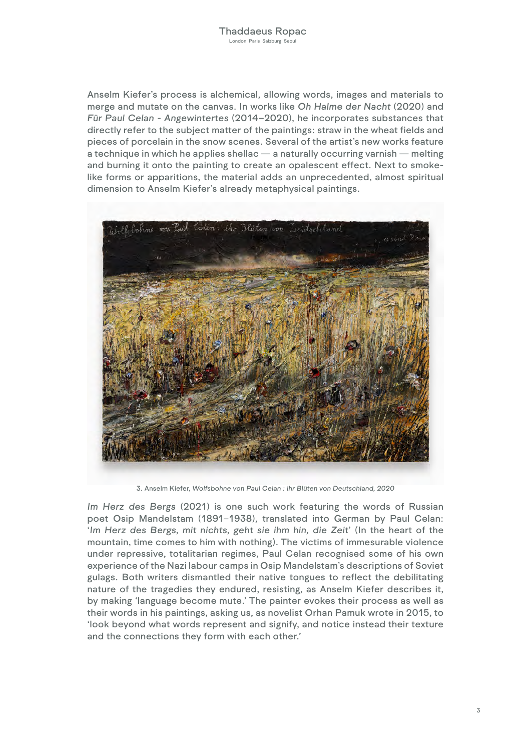Anselm Kiefer's process is alchemical, allowing words, images and materials to merge and mutate on the canvas. In works like *Oh Halme der Nacht* (2020) and *Für Paul Celan - Angewintertes* (2014–2020), he incorporates substances that directly refer to the subject matter of the paintings: straw in the wheat fields and pieces of porcelain in the snow scenes. Several of the artist's new works feature a technique in which he applies shellac — a naturally occurring varnish — melting and burning it onto the painting to create an opalescent effect. Next to smokelike forms or apparitions, the material adds an unprecedented, almost spiritual dimension to Anselm Kiefer's already metaphysical paintings.



3. Anselm Kiefer, *Wolfsbohne von Paul Celan : ihr Blüten von Deutschland, 2020*

*Im Herz des Bergs* (2021) is one such work featuring the words of Russian poet Osip Mandelstam (1891–1938), translated into German by Paul Celan: '*Im Herz des Bergs, mit nichts, geht sie ihm hin, die Zeit*' (In the heart of the mountain, time comes to him with nothing). The victims of immesurable violence under repressive, totalitarian regimes, Paul Celan recognised some of his own experience of the Nazi labour camps in Osip Mandelstam's descriptions of Soviet gulags. Both writers dismantled their native tongues to reflect the debilitating nature of the tragedies they endured, resisting, as Anselm Kiefer describes it, by making 'language become mute.' The painter evokes their process as well as their words in his paintings, asking us, as novelist Orhan Pamuk wrote in 2015, to 'look beyond what words represent and signify, and notice instead their texture and the connections they form with each other.'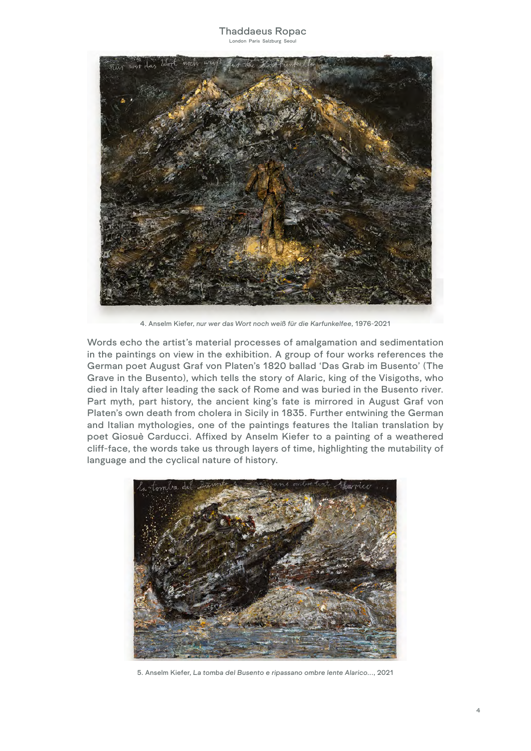

4. Anselm Kiefer, *nur wer das Wort noch weiß für die Karfunkelfee*, 1976-2021

Words echo the artist's material processes of amalgamation and sedimentation in the paintings on view in the exhibition. A group of four works references the German poet August Graf von Platen's 1820 ballad 'Das Grab im Busento' (The Grave in the Busento), which tells the story of Alaric, king of the Visigoths, who died in Italy after leading the sack of Rome and was buried in the Busento river. Part myth, part history, the ancient king's fate is mirrored in August Graf von Platen's own death from cholera in Sicily in 1835. Further entwining the German and Italian mythologies, one of the paintings features the Italian translation by poet Giosuè Carducci. Affixed by Anselm Kiefer to a painting of a weathered cliff-face, the words take us through layers of time, highlighting the mutability of language and the cyclical nature of history.



5. Anselm Kiefer, *La tomba del Busento e ripassano ombre lente Alarico...*, 2021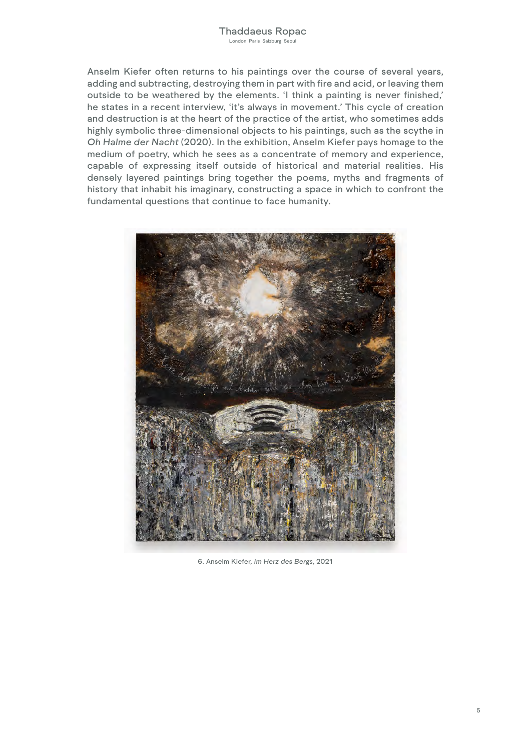Anselm Kiefer often returns to his paintings over the course of several years, adding and subtracting, destroying them in part with fire and acid, or leaving them outside to be weathered by the elements. 'I think a painting is never finished,' he states in a recent interview, 'it's always in movement.' This cycle of creation and destruction is at the heart of the practice of the artist, who sometimes adds highly symbolic three-dimensional objects to his paintings, such as the scythe in *Oh Halme der Nacht* (2020). In the exhibition, Anselm Kiefer pays homage to the medium of poetry, which he sees as a concentrate of memory and experience, capable of expressing itself outside of historical and material realities. His densely layered paintings bring together the poems, myths and fragments of history that inhabit his imaginary, constructing a space in which to confront the fundamental questions that continue to face humanity.



6. Anselm Kiefer, *Im Herz des Bergs*, 2021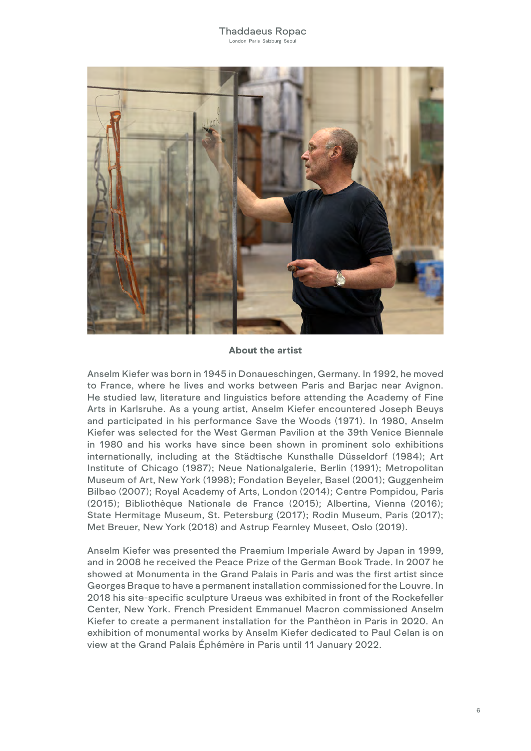

## About the artist

Anselm Kiefer was born in 1945 in Donaueschingen, Germany. In 1992, he moved to France, where he lives and works between Paris and Barjac near Avignon. He studied law, literature and linguistics before attending the Academy of Fine Arts in Karlsruhe. As a young artist, Anselm Kiefer encountered Joseph Beuys and participated in his performance Save the Woods (1971). In 1980, Anselm Kiefer was selected for the West German Pavilion at the 39th Venice Biennale in 1980 and his works have since been shown in prominent solo exhibitions internationally, including at the Städtische Kunsthalle Düsseldorf (1984); Art Institute of Chicago (1987); Neue Nationalgalerie, Berlin (1991); Metropolitan Museum of Art, New York (1998); Fondation Beyeler, Basel (2001); Guggenheim Bilbao (2007); Royal Academy of Arts, London (2014); Centre Pompidou, Paris (2015); Bibliothèque Nationale de France (2015); Albertina, Vienna (2016); State Hermitage Museum, St. Petersburg (2017); Rodin Museum, Paris (2017); Met Breuer, New York (2018) and Astrup Fearnley Museet, Oslo (2019).

Anselm Kiefer was presented the Praemium Imperiale Award by Japan in 1999, and in 2008 he received the Peace Prize of the German Book Trade. In 2007 he showed at Monumenta in the Grand Palais in Paris and was the first artist since Georges Braque to have a permanent installation commissioned for the Louvre. In 2018 his site-specific sculpture Uraeus was exhibited in front of the Rockefeller Center, New York. French President Emmanuel Macron commissioned Anselm Kiefer to create a permanent installation for the Panthéon in Paris in 2020. An exhibition of monumental works by Anselm Kiefer dedicated to Paul Celan is on view at the Grand Palais Éphémère in Paris until 11 January 2022.